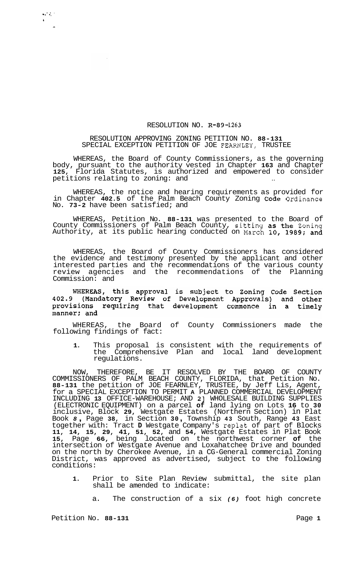## RESOLUTION NO. **R-89-1263**

## RESOLUTION APPROVING ZONING PETITION NO. **88-131**  SPECIAL EXCEPTION PETITION OF JOE FEARNLEY, TRUSTEE

WHEREAS, the Board of County Commissioners, as the governing body, pursuant to the authority vested in Chapter **163** and Chapter **125,** Florida Statutes, is authorized and empowered to consider petitions relating to zoning: and

WHEREAS, the notice and hearing requirements as provided for in Chapter **402.5** of the Palm Beach County Zoning Code Ordinance No. **73-2** have been satisfied; and

WHEREAS, Petition No. **88-131** was presented to the Board of County Commissioners of Palm Beach County, sitting as the Zoning Authority, at its public hearing conducted on March **10, 1989;** and

WHEREAS, the Board of County Commissioners has considered the evidence and testimony presented by the applicant and other interested parties and the recommendations of the various county review agencies and the recommendations of the Planning Commission: and

WHEREAS, this approval is subject to Zoning Code Section<br>402.9 (Mandatory Review of Development Approvals) and other provisions requiring that development commence in a timely manner; and

WHEREAS, the Board of County Commissioners made the following findings of fact:

**1.** This proposal is consistent with the requirements of the Comprehensive Plan and local land development regulations.

NOW, THEREFORE, BE IT RESOLVED BY THE BOARD OF COUNTY COMMISSIONERS OF PALM BEACH COUNTY, FLORIDA, that Petition No. **88-131** the petition of JOE FEARNLEY, TRUSTEE, by Jeff Lis, Agent, for a SPECIAL EXCEPTION TO PERMIT **A** PLANNED COMMERCIAL DEVELOPMENT INCLUDING **13** OFFICE-WAREHOUSE; AND **21** WHOLESALE BUILDING SUPPLIES (ELECTRONIC EQUIPMENT) on a parcel **of** land lying on Lots **16** to **30**  inclusive, Block **29,** Westgate Estates (Northern Section) in Plat Book *8* , Page **38,** in Section **30** , Township **43** South, Range **43** East together with: Tract **D** Westgate Company's replat of part of Blocks **11, 14, 15, 29, 41, 51, 52,** and **54,** Westgate Estates in Plat Book **15,** Page **66,** being located on the northwest corner **of** the intersection of Westgate Avenue and Loxahatchee Drive and bounded on the north by Cherokee Avenue, in a CG-General commercial Zoning District, was approved as advertised, subject to the following conditions:

- **1.** Prior to Site Plan Review submittal, the site plan shall be amended to indicate:
	- a. The construction of a six *(6)* foot high concrete

**.I** .. .. . *b*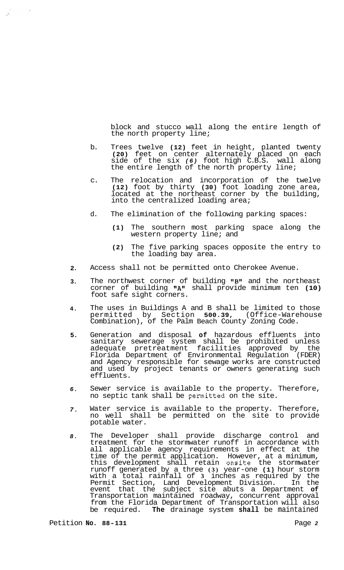block and stucco wall along the entire length of the north property line;

- b. Trees twelve **(12)** feet in height, planted twenty **(20)** feet on center alternately placed on each side of the six *(6)* foot high C.B.S. wall along the entire length of the north property line;
- c. The relocation and incorporation of the twelve **(12)** foot by thirty **(30)** foot loading zone area, located at the northeast corner by the building, into the centralized loading area;
- d. The elimination of the following parking spaces:
	- **(1)** The southern most parking space along the western property line; and
	- **(2)** The five parking spaces opposite the entry to the loading bay area.
- **2.**  Access shall not be permitted onto Cherokee Avenue.
- **3.**  The northwest corner of building **IIBlr** and the northeast corner of building "A" shall provide minimum ten (10) foot safe sight corners.
- **4.**  The uses in Buildings A and B shall be limited to those permitted by Section **500.39,** (Office-Warehouse permitted by Section 500.39, (Office-Ware<br>Combination), of the Palm Beach County Zoning Code.
- **5.**  Generation and disposal **of** hazardous effluents into sanitary sewerage system shall be prohibited unless adequate pretreatment facilities approved by the Florida Department of Environmental Regulation (FDER) and Agency responsible for sewage works are constructed and used by project tenants or owners generating such effluents.
- *6.*  Sewer service is available to the property. Therefore, no septic tank shall be permitted on the site.
- *7.*  Water service is available to the property. Therefore, no well shall be permitted on the site to provide potable water.
- *8.*  The Developer shall provide discharge control and treatment for the stormwater runoff in accordance with all applicable agency requirements in effect at the time of the permit application. However, at a minimum, this development shall retain onsite the stormwater runoff generated by a three **(3)** year-one **(1)** hour storm with a total rainfall of **3** inches as required by the Permit Section, Land Development Division. In the event that the subject site abuts a Department **of**  Transportation maintained roadway, concurrent approval from the Florida Department of Transportation will also be required. **The** drainage system **shall** be maintained

 $\mathcal{A}_\bullet$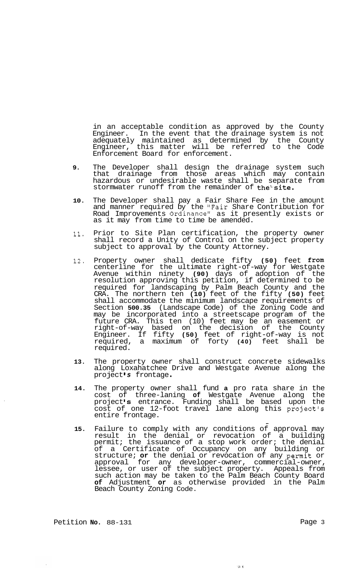in an acceptable condition as approved by the County Engineer. In the event that the drainage system is not adequately maintained as determined by the County Engineer, this matter will be referred to the Code Enforcement Board for enforcement.

- **9.** The Developer shall design the drainage system such that drainage from those areas which may contain hazardous or undesirable waste shall be separate from stormwater runoff from the remainder of the site.
- **10.** The Developer shall pay a Fair Share Fee in the amount and manner required by the "Fair Share Contribution for Road Improvements Ordinance" as it presently exists or as it may from time to time be amended.
- **11.** Prior to Site Plan certification, the property owner shall record a Unity of Control on the subject property subject to approval by the County Attorney.
- 12. Property owner shall dedicate fifty **(50)** feet from centerline for the ultimate right-of-way for Westgate Avenue within ninety **(90)** days of adoption of the resolution approving this petition, if determined to be required for landscaping by Palm Beach County and the CRA. The northern ten **(10)** feet of the fifty **(50)** feet shall accommodate the minimum landscape requirements of Section **500.35** (Landscape Code) of the Zoning Code and may be incorporated into a streetscape program of the future CRA. This ten (10) feet may be an easement or right-of-way based on the decision of the County Engineer. If fifty **(50)** feet of right-of-way is not required, a maximum of forty **(40)** feet shall be required.
- **13.** The property owner shall construct concrete sidewalks along Loxahatchee Drive and Westgate Avenue along the project's frontage.
- **14.** The property owner shall fund **a** pro rata share in the cost of three-laning **of** Westgate Avenue along the project **Is** entrance. Funding shall be based upon the cost of one 12-foot travel lane along this project's entire frontage. -
- **15.** Failure to comply with any conditions of approval may result in the denial or revocation of a building permit; the issuance of a stop work order; the denial of a Certificate of Occupancy on any building or structure; **or** the denial or revocation of any permit or approval for any developer-owner, commercial-owner, lessee, or user of the subject property. Appeals from such action may be taken to the Palm Beach County Board **of** Adjustment **or** as otherwise provided in the Palm Beach County Zoning Code.

Petition **No.** 88-131 Page 3